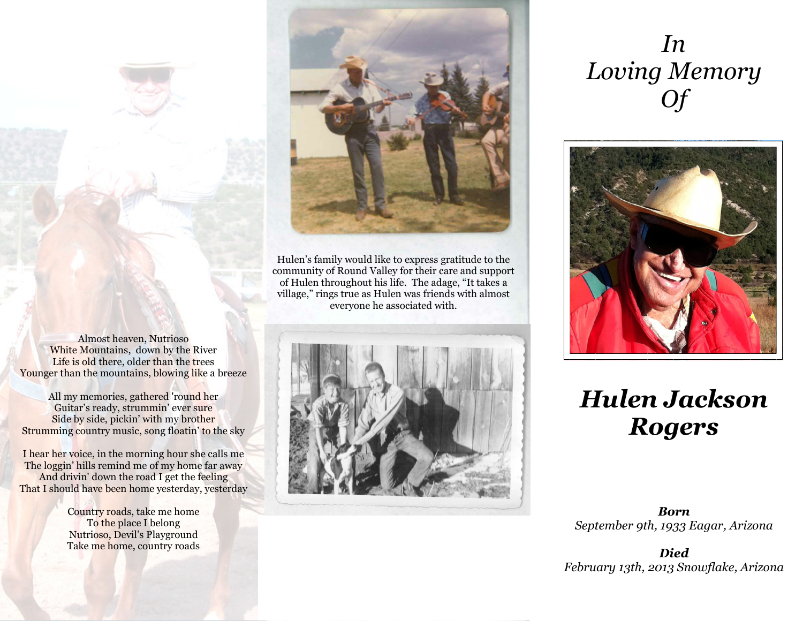

Hulen's family would like to express gratitude to the community of Round Valley for their care and support of Hulen throughout his life. The adage, "It takes a village," rings true as Hulen was friends with almost everyone he associated with.

Almost heaven, Nutrioso White Mountains, down by the River Life is old there, older than the trees Younger than the mountains, blowing like a breeze

All my memories, gathered 'round her Guitar's ready, strummin' ever sure Side by side, pickin' with my brother Strumming country music, song floatin' to the sky

I hear her voice, in the morning hour she calls me The loggin' hills remind me of my home far away And drivin' down the road I get the feeling That I should have been home yesterday, yesterday

> Country roads, take me home To the place I belong Nutrioso, Devil's Playground Take me home, country roads



In Loving Memory Of



# Hulen Jackson Rogers

Born September 9th, 1933 Eagar, Arizona

Died February 13th, 2013 Snowflake, Arizona